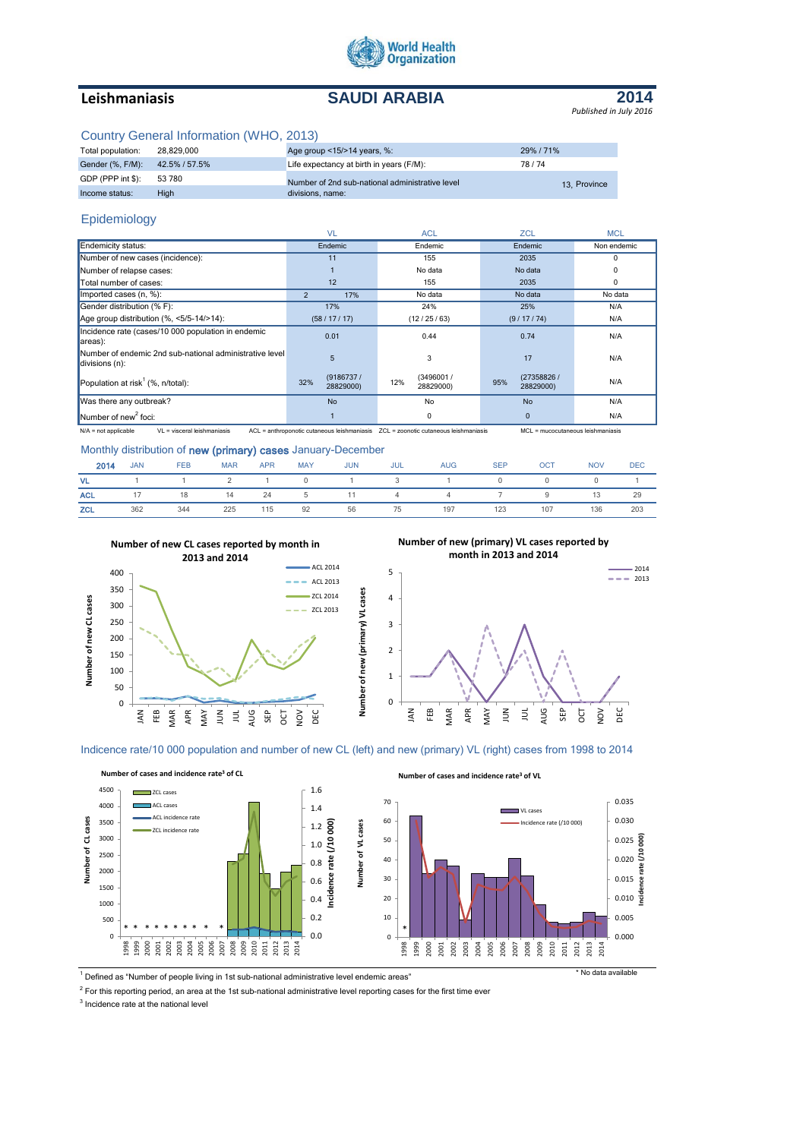

# **Leishmaniasis SAUDI ARABIA**



## Country General Information (WHO, 2013)

| Total population:              | 28.829.000 | Age group <15/>>14 years, %:                    | 29%/71%      |
|--------------------------------|------------|-------------------------------------------------|--------------|
| Gender (%, F/M): 42.5% / 57.5% |            | Life expectancy at birth in years (F/M):        | 78/74        |
| GDP (PPP int \$):              | 53 780     | Number of 2nd sub-national administrative level | 13. Province |
| Income status:                 | High       | divisions, name:                                |              |

# Epidemiology

|                                                                           | <b>VL</b>                     | <b>ACL</b>                    |                                 | <b>MCL</b>  |
|---------------------------------------------------------------------------|-------------------------------|-------------------------------|---------------------------------|-------------|
| Endemicity status:                                                        | Endemic                       | Endemic                       | Endemic                         | Non endemic |
| Number of new cases (incidence):                                          | 11                            | 155                           | 2035                            | $\Omega$    |
| Number of relapse cases:                                                  |                               | No data                       | No data                         | 0           |
| Total number of cases:                                                    | 12                            | 155                           | 2035                            | 0           |
| Imported cases (n, %):                                                    | 17%<br>$\overline{2}$         | No data                       | No data                         | No data     |
| Gender distribution (% F):                                                | 17%                           | 24%                           | 25%                             | N/A         |
| Age group distribution $(\% \, <5/5-14/>14)$ :                            | (58/17/17)                    | (12/25/63)                    | (9/17/74)                       | N/A         |
| Incidence rate (cases/10 000 population in endemic<br>areas):             | 0.01                          | 0.44                          | 0.74                            | N/A         |
| Number of endemic 2nd sub-national administrative level<br>divisions (n): | 5                             | 3                             | 17                              | N/A         |
| Population at risk <sup>1</sup> (%, $n$ /total):                          | (9186737)<br>32%<br>28829000) | (3496001/<br>12%<br>28829000) | (27358826 /<br>95%<br>28829000) | N/A         |
| Was there any outbreak?                                                   | <b>No</b>                     | No                            | <b>No</b>                       | N/A         |
| Number of new <sup>2</sup> foci:                                          |                               | $\Omega$                      | $\mathbf{0}$                    | N/A         |

N/A = not applicable VL = visceral leishmaniasis ACL = anthroponotic cutaneous leishmaniasis ZCL = zoonotic cutaneous leishmaniasis MCL = mucocutaneous leishmaniasis

# Monthly distribution of new (primary) cases January-December

| 2014       | <b>JAN</b> | <b>FEB</b> | <b>MAR</b> | <b>APR</b> | <b>MAY</b> | <b>JUN</b> | JUL | <b>AUG</b>             | <b>SEP</b> | <b>OCT</b> | <b>NOV</b>    | <b>DEC</b> |
|------------|------------|------------|------------|------------|------------|------------|-----|------------------------|------------|------------|---------------|------------|
|            |            |            |            |            |            |            |     | VL 1 1 2 1 0 1 3 1 0 0 |            |            | $\cup$ $\cup$ |            |
| <b>ACL</b> |            | 17 18      |            |            |            |            |     | 14 24 5 11 4 4 7 9     |            |            | 13            | 29         |
| <b>ZCL</b> | 362        | 344        | 225        | 115        | 92         | 56         | 75  | 197                    | 123        | 107        | 136           | 203        |



ミ まま ど

NOV DEC





# Indicence rate/10 000 population and number of new CL (left) and new (primary) VL (right) cases from 1998 to 2014

**Number of new (primary) VL cases**

Number of new (primary) VL cases



<sup>1</sup> Defined as "Number of people living in 1st sub-national administrative level endemic areas" **\*** No data available

 $2$  For this reporting period, an area at the 1st sub-national administrative level reporting cases for the first time ever

<sup>3</sup> Incidence rate at the national level

 $\overline{0}$ 50 100

JAN FEB MAR APR MAY  $\leq$